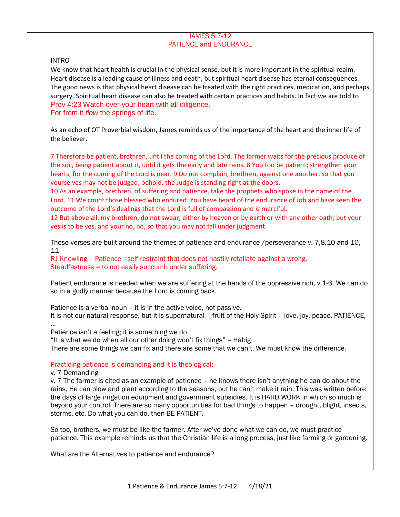## JAMES 5:7-12 PATIENCE and ENDURANCE

# INTRO

We know that heart health is crucial in the physical sense, but it is more important in the spiritual realm. Heart disease is a leading cause of illness and death, but spiritual heart disease has eternal consequences. The good news is that physical heart disease can be treated with the right practices, medication, and perhaps surgery. Spiritual heart disease can also be treated with certain practices and habits. In fact we are told to Prov 4:23 Watch over your heart with all diligence, For from it *flow* the springs of life.

As an echo of OT Proverbial wisdom, James reminds us of the importance of the heart and the inner life of the believer.

7 Therefore be patient, brethren, until the coming of the Lord. The farmer waits for the precious produce of the soil, being patient about it, until it gets the early and late rains. 8 You too be patient; strengthen your hearts, for the coming of the Lord is near. 9 Do not complain, brethren, against one another, so that you yourselves may not be judged; behold, the Judge is standing right at the doors.

10 As an example, brethren, of suffering and patience, take the prophets who spoke in the name of the Lord. 11 We count those blessed who endured. You have heard of the endurance of Job and have seen the outcome of the Lord's dealings that the Lord is full of compassion and *is* merciful.

12 But above all, my brethren, do not swear, either by heaven or by earth or with any other oath; but your yes is to be yes, and your no, no, so that you may not fall under judgment.

These verses are built around the themes of patience and endurance /perseverance v. 7,8,10 and 10, 11

RJ Knowling – Patience =self-restraint that does not hastily retaliate against a wrong. Steadfastness = to not easily succumb under suffering.

Patient endurance is needed when we are suffering at the hands of the oppressive rich, v.1-6. We can do so in a godly manner because the Lord is coming back.

Patience is a verbal noun – it is in the active voice, not passive. It is not our natural response, but it is supernatural – fruit of the Holy Spirit – love, joy, peace, PATIENCE, …

Patience isn't a feeling; it is something we do.

"It is what we do when all our other doing won't fix things" – Habig There are some things we can fix and there are some that we can't. We must know the difference.

# Practicing patience is demanding and it is theological:

## v. 7 Demanding

v. 7 The farmer is cited as an example of patience – he knows there isn't anything he can do about the rains. He can plow and plant according to the seasons, but he can't make it rain. This was written before the days of large irrigation equipment and government subsidies. It is HARD WORK in which so much is beyond your control. There are so many opportunities for bad things to happen – drought, blight, insects, storms, etc. Do what you can do, then BE PATIENT.

So too, brothers, we must be like the farmer. After we've done what we can do, we must practice patience. This example reminds us that the Christian life is a long process, just like farming or gardening.

What are the Alternatives to patience and endurance?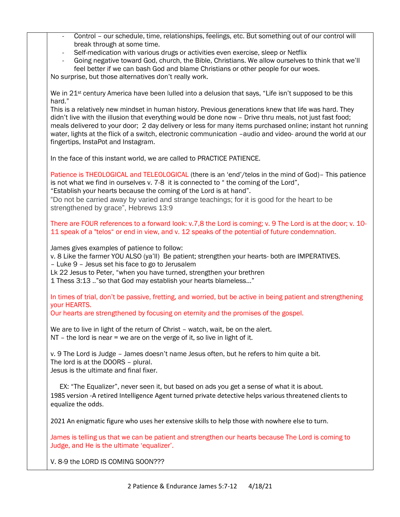| Control - our schedule, time, relationships, feelings, etc. But something out of our control will<br>$\omega_{\rm{max}}$<br>break through at some time.                                                              |
|----------------------------------------------------------------------------------------------------------------------------------------------------------------------------------------------------------------------|
| Self-medication with various drugs or activities even exercise, sleep or Netflix                                                                                                                                     |
| Going negative toward God, church, the Bible, Christians. We allow ourselves to think that we'll                                                                                                                     |
| feel better if we can bash God and blame Christians or other people for our woes.<br>No surprise, but those alternatives don't really work.                                                                          |
|                                                                                                                                                                                                                      |
| We in 21 <sup>st</sup> century America have been lulled into a delusion that says, "Life isn't supposed to be this<br>hard."                                                                                         |
| This is a relatively new mindset in human history. Previous generations knew that life was hard. They                                                                                                                |
| didn't live with the illusion that everything would be done now - Drive thru meals, not just fast food;<br>meals delivered to your door; 2 day delivery or less for many items purchased online; instant hot running |
| water, lights at the flick of a switch, electronic communication -audio and video- around the world at our                                                                                                           |
| fingertips, InstaPot and Instagram.                                                                                                                                                                                  |
| In the face of this instant world, we are called to PRACTICE PATIENCE.                                                                                                                                               |
| Patience is THEOLOGICAL and TELEOLOGICAL (there is an 'end'/telos in the mind of God)- This patience                                                                                                                 |
| is not what we find in ourselves v. 7-8 it is connected to "the coming of the Lord",<br>"Establish your hearts because the coming of the Lord is at hand".                                                           |
| "Do not be carried away by varied and strange teachings; for it is good for the heart to be                                                                                                                          |
| strengthened by grace", Hebrews 13:9                                                                                                                                                                                 |
| There are FOUR references to a forward look: v.7,8 the Lord is coming; v. 9 The Lord is at the door; v. 10-                                                                                                          |
| 11 speak of a "telos" or end in view, and v. 12 speaks of the potential of future condemnation.                                                                                                                      |
| James gives examples of patience to follow:                                                                                                                                                                          |
| v. 8 Like the farmer YOU ALSO (ya'll) Be patient; strengthen your hearts- both are IMPERATIVES.<br>- Luke 9 - Jesus set his face to go to Jerusalem                                                                  |
| Lk 22 Jesus to Peter, "when you have turned, strengthen your brethren                                                                                                                                                |
| 1 Thess 3:13  "so that God may establish your hearts blameless"                                                                                                                                                      |
| In times of trial, don't be passive, fretting, and worried, but be active in being patient and strengthening<br>your HEARTS.                                                                                         |
| Our hearts are strengthened by focusing on eternity and the promises of the gospel.                                                                                                                                  |
| We are to live in light of the return of Christ - watch, wait, be on the alert.                                                                                                                                      |
| $NT - the$ lord is near = we are on the verge of it, so live in light of it.                                                                                                                                         |
| v. 9 The Lord is Judge - James doesn't name Jesus often, but he refers to him quite a bit.                                                                                                                           |
| The lord is at the DOORS - plural.<br>Jesus is the ultimate and final fixer.                                                                                                                                         |
|                                                                                                                                                                                                                      |
| EX: "The Equalizer", never seen it, but based on ads you get a sense of what it is about.                                                                                                                            |
| 1985 version -A retired Intelligence Agent turned private detective helps various threatened clients to<br>equalize the odds.                                                                                        |
| 2021 An enigmatic figure who uses her extensive skills to help those with nowhere else to turn.                                                                                                                      |
| James is telling us that we can be patient and strengthen our hearts because The Lord is coming to<br>Judge, and He is the ultimate 'equalizer'.                                                                     |
| V. 8-9 the LORD IS COMING SOON???                                                                                                                                                                                    |
|                                                                                                                                                                                                                      |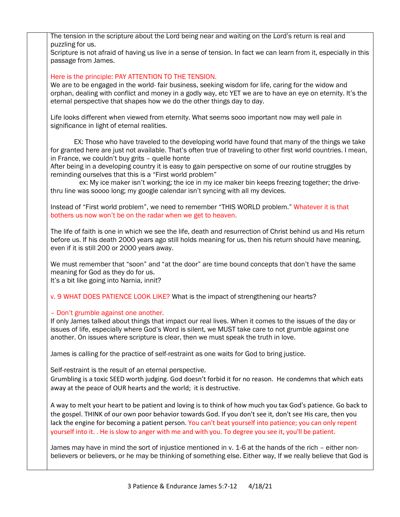The tension in the scripture about the Lord being near and waiting on the Lord's return is real and puzzling for us.

Scripture is not afraid of having us live in a sense of tension. In fact we can learn from it, especially in this passage from James.

Here is the principle: PAY ATTENTION TO THE TENSION.

We are to be engaged in the world- fair business, seeking wisdom for life, caring for the widow and orphan, dealing with conflict and money in a godly way, etc YET we are to have an eye on eternity. It's the eternal perspective that shapes how we do the other things day to day.

Life looks different when viewed from eternity. What seems sooo important now may well pale in significance in light of eternal realities.

 EX: Those who have traveled to the developing world have found that many of the things we take for granted here are just not available. That's often true of traveling to other first world countries. I mean, in France, we couldn't buy grits – quelle honte

After being in a developing country it is easy to gain perspective on some of our routine struggles by reminding ourselves that this is a "First world problem"

 ex: My ice maker isn't working; the ice in my ice maker bin keeps freezing together; the drivethru line was soooo long; my google calendar isn't syncing with all my devices.

Instead of "First world problem", we need to remember "THIS WORLD problem." Whatever it is that bothers us now won't be on the radar when we get to heaven.

The life of faith is one in which we see the life, death and resurrection of Christ behind us and His return before us. If his death 2000 years ago still holds meaning for us, then his return should have meaning, even if it is still 200 or 2000 years away.

We must remember that "soon" and "at the door" are time bound concepts that don't have the same meaning for God as they do for us.

It's a bit like going into Narnia, innit?

v. 9 WHAT DOES PATIENCE LOOK LIKE? What is the impact of strengthening our hearts?

## – Don't grumble against one another.

If only James talked about things that impact our real lives. When it comes to the issues of the day or issues of life, especially where God's Word is silent, we MUST take care to not grumble against one another. On issues where scripture is clear, then we must speak the truth in love.

James is calling for the practice of self-restraint as one waits for God to bring justice.

Self-restraint is the result of an eternal perspective.

Grumbling is a toxic SEED worth judging. God doesn't forbid it for no reason. He condemns that which eats away at the peace of OUR hearts and the world; it is destructive.

A way to melt your heart to be patient and loving is to think of how much you tax God's patience. Go back to the gospel. THINK of our own poor behavior towards God. If you don't see it, don't see His care, then you lack the engine for becoming a patient person. You can't beat yourself into patience; you can only repent yourself into it. . He is slow to anger with me and with you. To degree you see it, you'll be patient.

James may have in mind the sort of injustice mentioned in v. 1-6 at the hands of the rich – either nonbelievers or believers, or he may be thinking of something else. Either way, If we really believe that God is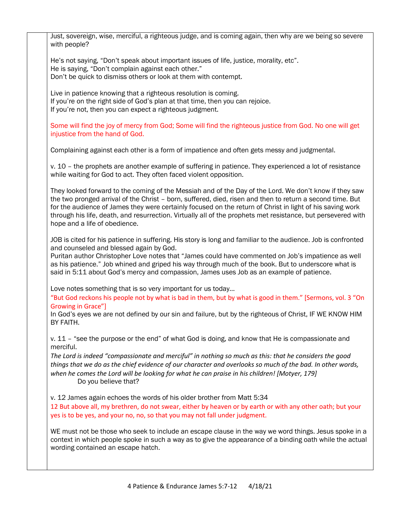| Just, sovereign, wise, merciful, a righteous judge, and is coming again, then why are we being so severe<br>with people?                                                                                                                                                                                                                                                                                                                                                          |
|-----------------------------------------------------------------------------------------------------------------------------------------------------------------------------------------------------------------------------------------------------------------------------------------------------------------------------------------------------------------------------------------------------------------------------------------------------------------------------------|
| He's not saying, "Don't speak about important issues of life, justice, morality, etc".<br>He is saying, "Don't complain against each other."<br>Don't be quick to dismiss others or look at them with contempt.                                                                                                                                                                                                                                                                   |
| Live in patience knowing that a righteous resolution is coming.<br>If you're on the right side of God's plan at that time, then you can rejoice.<br>If you're not, then you can expect a righteous judgment.                                                                                                                                                                                                                                                                      |
| Some will find the joy of mercy from God; Some will find the righteous justice from God. No one will get<br>injustice from the hand of God.                                                                                                                                                                                                                                                                                                                                       |
| Complaining against each other is a form of impatience and often gets messy and judgmental.                                                                                                                                                                                                                                                                                                                                                                                       |
| v. 10 - the prophets are another example of suffering in patience. They experienced a lot of resistance<br>while waiting for God to act. They often faced violent opposition.                                                                                                                                                                                                                                                                                                     |
| They looked forward to the coming of the Messiah and of the Day of the Lord. We don't know if they saw<br>the two pronged arrival of the Christ - born, suffered, died, risen and then to return a second time. But<br>for the audience of James they were certainly focused on the return of Christ in light of his saving work<br>through his life, death, and resurrection. Virtually all of the prophets met resistance, but persevered with<br>hope and a life of obedience. |
| JOB is cited for his patience in suffering. His story is long and familiar to the audience. Job is confronted<br>and counseled and blessed again by God.<br>Puritan author Christopher Love notes that "James could have commented on Job's impatience as well<br>as his patience." Job whined and griped his way through much of the book. But to underscore what is<br>said in 5:11 about God's mercy and compassion, James uses Job as an example of patience.                 |
| Love notes something that is so very important for us today<br>"But God reckons his people not by what is bad in them, but by what is good in them." [Sermons, vol. 3 "On<br>Growing in Grace"]<br>In God's eyes we are not defined by our sin and failure, but by the righteous of Christ, IF WE KNOW HIM<br>BY FAITH.                                                                                                                                                           |
| v. 11 - "see the purpose or the end" of what God is doing, and know that He is compassionate and<br>merciful.                                                                                                                                                                                                                                                                                                                                                                     |
| The Lord is indeed "compassionate and merciful" in nothing so much as this: that he considers the good<br>things that we do as the chief evidence of our character and overlooks so much of the bad. In other words,<br>when he comes the Lord will be looking for what he can praise in his children! [Motyer, 179]<br>Do you believe that?                                                                                                                                      |
| v. 12 James again echoes the words of his older brother from Matt 5:34<br>12 But above all, my brethren, do not swear, either by heaven or by earth or with any other oath; but your<br>yes is to be yes, and your no, no, so that you may not fall under judgment.                                                                                                                                                                                                               |
| WE must not be those who seek to include an escape clause in the way we word things. Jesus spoke in a<br>context in which people spoke in such a way as to give the appearance of a binding oath while the actual<br>wording contained an escape hatch.                                                                                                                                                                                                                           |
|                                                                                                                                                                                                                                                                                                                                                                                                                                                                                   |